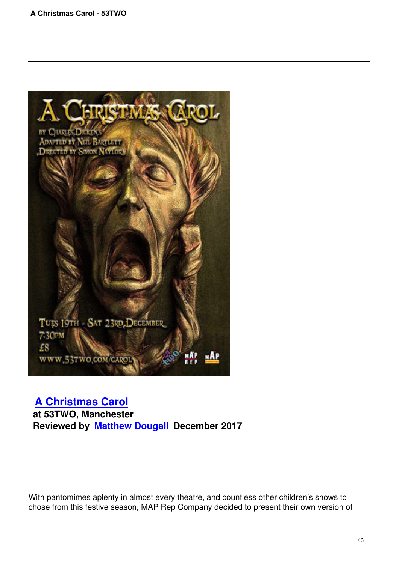

## **A Christmas Carol**

 **at 53TWO, Manchester [Reviewed by Matthew](a-christmas-carol-iabf.html) Dougall December 2017**

With pantomimes aplenty in almost every theatre, and countless other children's shows to chose from this festive season, MAP Rep Company decided to present their own version of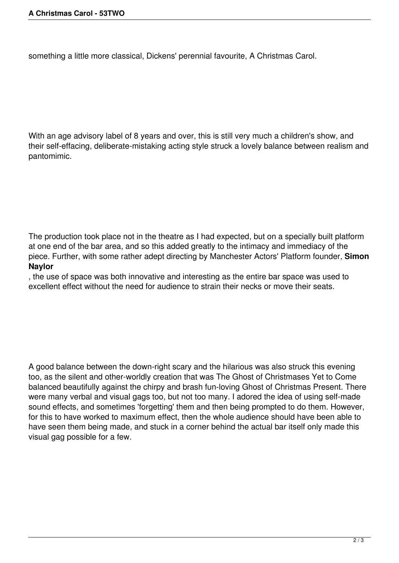something a little more classical, Dickens' perennial favourite, A Christmas Carol.

With an age advisory label of 8 years and over, this is still very much a children's show, and their self-effacing, deliberate-mistaking acting style struck a lovely balance between realism and pantomimic.

The production took place not in the theatre as I had expected, but on a specially built platform at one end of the bar area, and so this added greatly to the intimacy and immediacy of the piece. Further, with some rather adept directing by Manchester Actors' Platform founder, **Simon Naylor**

, the use of space was both innovative and interesting as the entire bar space was used to excellent effect without the need for audience to strain their necks or move their seats.

A good balance between the down-right scary and the hilarious was also struck this evening too, as the silent and other-worldly creation that was The Ghost of Christmases Yet to Come balanced beautifully against the chirpy and brash fun-loving Ghost of Christmas Present. There were many verbal and visual gags too, but not too many. I adored the idea of using self-made sound effects, and sometimes 'forgetting' them and then being prompted to do them. However, for this to have worked to maximum effect, then the whole audience should have been able to have seen them being made, and stuck in a corner behind the actual bar itself only made this visual gag possible for a few.